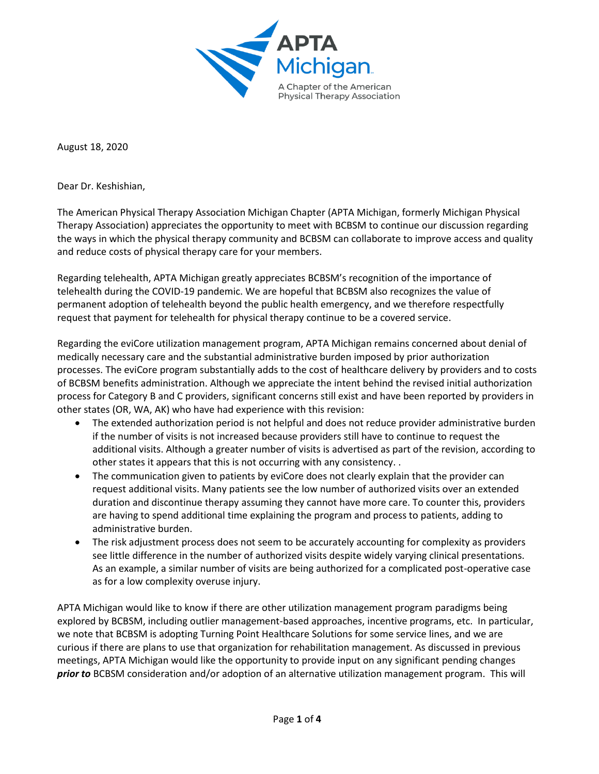

August 18, 2020

Dear Dr. Keshishian,

The American Physical Therapy Association Michigan Chapter (APTA Michigan, formerly Michigan Physical Therapy Association) appreciates the opportunity to meet with BCBSM to continue our discussion regarding the ways in which the physical therapy community and BCBSM can collaborate to improve access and quality and reduce costs of physical therapy care for your members.

Regarding telehealth, APTA Michigan greatly appreciates BCBSM's recognition of the importance of telehealth during the COVID-19 pandemic. We are hopeful that BCBSM also recognizes the value of permanent adoption of telehealth beyond the public health emergency, and we therefore respectfully request that payment for telehealth for physical therapy continue to be a covered service.

Regarding the eviCore utilization management program, APTA Michigan remains concerned about denial of medically necessary care and the substantial administrative burden imposed by prior authorization processes. The eviCore program substantially adds to the cost of healthcare delivery by providers and to costs of BCBSM benefits administration. Although we appreciate the intent behind the revised initial authorization process for Category B and C providers, significant concerns still exist and have been reported by providers in other states (OR, WA, AK) who have had experience with this revision:

- The extended authorization period is not helpful and does not reduce provider administrative burden if the number of visits is not increased because providers still have to continue to request the additional visits. Although a greater number of visits is advertised as part of the revision, according to other states it appears that this is not occurring with any consistency. .
- The communication given to patients by eviCore does not clearly explain that the provider can request additional visits. Many patients see the low number of authorized visits over an extended duration and discontinue therapy assuming they cannot have more care. To counter this, providers are having to spend additional time explaining the program and process to patients, adding to administrative burden.
- The risk adjustment process does not seem to be accurately accounting for complexity as providers see little difference in the number of authorized visits despite widely varying clinical presentations. As an example, a similar number of visits are being authorized for a complicated post-operative case as for a low complexity overuse injury.

APTA Michigan would like to know if there are other utilization management program paradigms being explored by BCBSM, including outlier management-based approaches, incentive programs, etc. In particular, we note that BCBSM is adopting Turning Point Healthcare Solutions for some service lines, and we are curious if there are plans to use that organization for rehabilitation management. As discussed in previous meetings, APTA Michigan would like the opportunity to provide input on any significant pending changes *prior to* BCBSM consideration and/or adoption of an alternative utilization management program. This will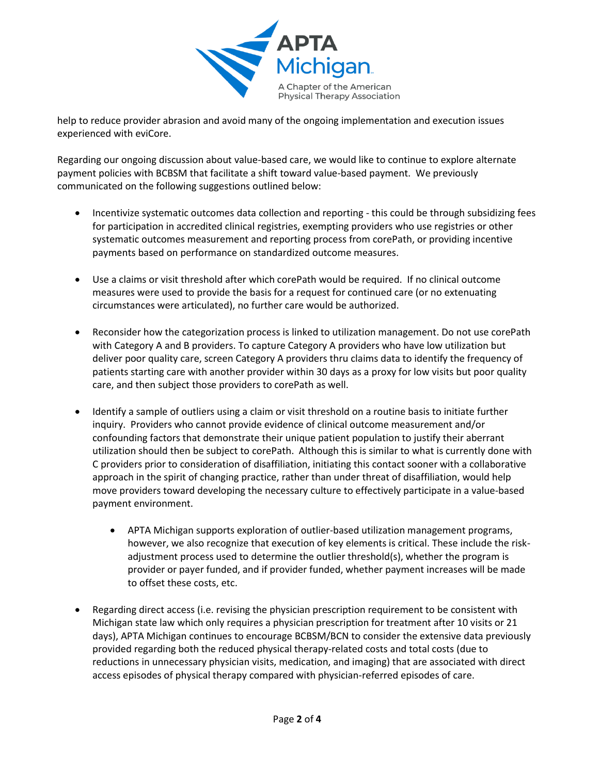

help to reduce provider abrasion and avoid many of the ongoing implementation and execution issues experienced with eviCore.

Regarding our ongoing discussion about value-based care, we would like to continue to explore alternate payment policies with BCBSM that facilitate a shift toward value-based payment. We previously communicated on the following suggestions outlined below:

- Incentivize systematic outcomes data collection and reporting this could be through subsidizing fees for participation in accredited clinical registries, exempting providers who use registries or other systematic outcomes measurement and reporting process from corePath, or providing incentive payments based on performance on standardized outcome measures.
- Use a claims or visit threshold after which corePath would be required. If no clinical outcome measures were used to provide the basis for a request for continued care (or no extenuating circumstances were articulated), no further care would be authorized.
- Reconsider how the categorization process is linked to utilization management. Do not use corePath with Category A and B providers. To capture Category A providers who have low utilization but deliver poor quality care, screen Category A providers thru claims data to identify the frequency of patients starting care with another provider within 30 days as a proxy for low visits but poor quality care, and then subject those providers to corePath as well.
- Identify a sample of outliers using a claim or visit threshold on a routine basis to initiate further inquiry. Providers who cannot provide evidence of clinical outcome measurement and/or confounding factors that demonstrate their unique patient population to justify their aberrant utilization should then be subject to corePath. Although this is similar to what is currently done with C providers prior to consideration of disaffiliation, initiating this contact sooner with a collaborative approach in the spirit of changing practice, rather than under threat of disaffiliation, would help move providers toward developing the necessary culture to effectively participate in a value-based payment environment.
	- APTA Michigan supports exploration of outlier-based utilization management programs, however, we also recognize that execution of key elements is critical. These include the riskadjustment process used to determine the outlier threshold(s), whether the program is provider or payer funded, and if provider funded, whether payment increases will be made to offset these costs, etc.
- Regarding direct access (i.e. revising the physician prescription requirement to be consistent with Michigan state law which only requires a physician prescription for treatment after 10 visits or 21 days), APTA Michigan continues to encourage BCBSM/BCN to consider the extensive data previously provided regarding both the reduced physical therapy-related costs and total costs (due to reductions in unnecessary physician visits, medication, and imaging) that are associated with direct access episodes of physical therapy compared with physician-referred episodes of care.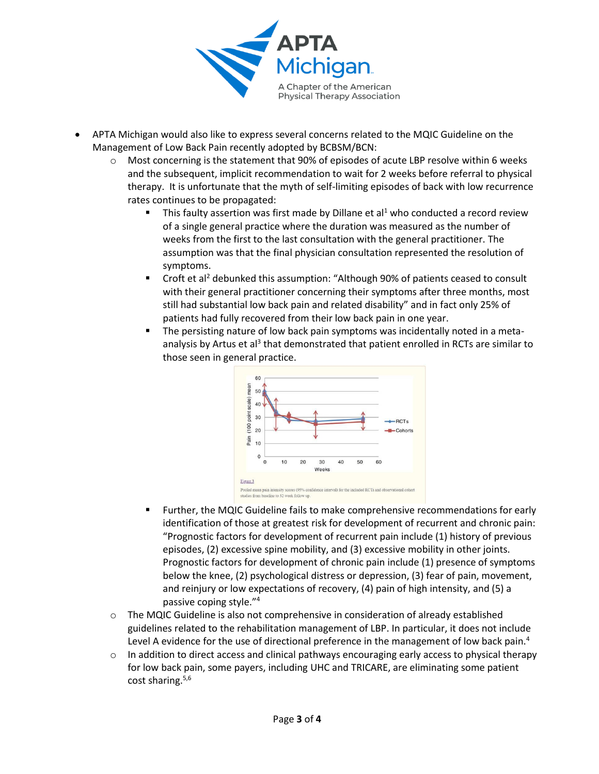

- APTA Michigan would also like to express several concerns related to the MQIC Guideline on the Management of Low Back Pain recently adopted by BCBSM/BCN:
	- o Most concerning is the statement that 90% of episodes of acute LBP resolve within 6 weeks and the subsequent, implicit recommendation to wait for 2 weeks before referral to physical therapy. It is unfortunate that the myth of self-limiting episodes of back with low recurrence rates continues to be propagated:
		- **.** This faulty assertion was first made by Dillane et al<sup>1</sup> who conducted a record review of a single general practice where the duration was measured as the number of weeks from the first to the last consultation with the general practitioner. The assumption was that the final physician consultation represented the resolution of symptoms.
		- **•** Croft et al<sup>2</sup> debunked this assumption: "Although 90% of patients ceased to consult with their general practitioner concerning their symptoms after three months, most still had substantial low back pain and related disability" and in fact only 25% of patients had fully recovered from their low back pain in one year.
		- **■** The persisting nature of low back pain symptoms was incidentally noted in a metaanalysis by Artus et al<sup>3</sup> that demonstrated that patient enrolled in RCTs are similar to those seen in general practice.



- Further, the MQIC Guideline fails to make comprehensive recommendations for early identification of those at greatest risk for development of recurrent and chronic pain: "Prognostic factors for development of recurrent pain include (1) history of previous episodes, (2) excessive spine mobility, and (3) excessive mobility in other joints. Prognostic factors for development of chronic pain include (1) presence of symptoms below the knee, (2) psychological distress or depression, (3) fear of pain, movement, and reinjury or low expectations of recovery, (4) pain of high intensity, and (5) a passive coping style." 4
- $\circ$  The MQIC Guideline is also not comprehensive in consideration of already established guidelines related to the rehabilitation management of LBP. In particular, it does not include Level A evidence for the use of directional preference in the management of low back pain.<sup>4</sup>
- In addition to direct access and clinical pathways encouraging early access to physical therapy for low back pain, some payers, including UHC and TRICARE, are eliminating some patient cost sharing. $5,6$